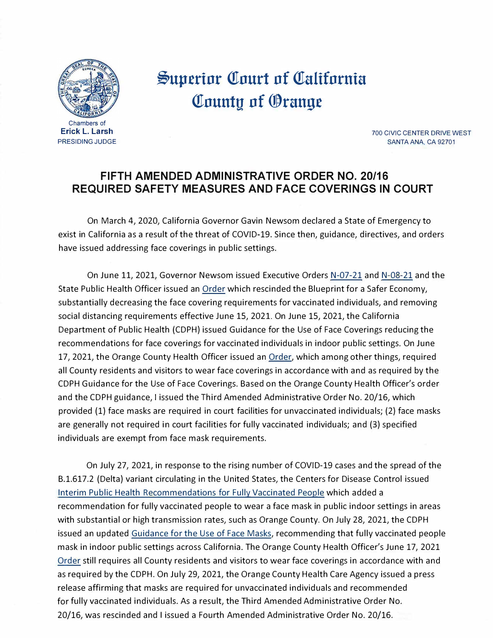

## **.§up.erinr QTnurt nf QTalifnrnia County of Orange**

700 CIVIC CENTER DRIVE WEST SANTA ANA, CA 92701

## **FIFTH AMENDED ADMINISTRATIVE ORDER NO. 20/16 REQUIRED SAFETY MEASURES AND FACE COVERINGS IN COURT**

On March 4, 2020, California Governor Gavin Newsom declared a State of Emergency to exist in California as a result of the threat of COVID-19. Since then, guidance, directives, and orders have issued addressing face coverings in public settings.

On June 11, 2021, Governor Newsom issued Executive Orders [N-07-21](https://www.gov.ca.gov/wp-content/uploads/2021/06/6.11.21-EO-N-07-21-signed.pdf) and [N-08-21](https://www.gov.ca.gov/wp-content/uploads/2021/06/6.11.21-EO-N-08-21-signed.pdf) and the State Public Health Officer issued an [Order](https://www.cdph.ca.gov/Programs/CID/DCDC/Pages/COVID-19/Order-of-the-State-Public-Health-Officer-Beyond-Blueprint.aspx) which rescinded the Blueprint for a Safer Economy, substantially decreasing the face covering requirements for vaccinated individuals, and removing social distancing requirements effective June 15, 2021. On June 15, 2021, the California Department of Public Health {CDPH) issued Guidance for the Use of Face Coverings reducing the recommendations for face coverings for vaccinated individuals in indoor public settings. On June 17, 2021, the Orange County Health Officer issued an [Order,](https://occovid19.ochealthinfo.com/article/oc-health-officers-orders-recommendations) which among other things, required all County residents and visitors to wear face coverings in accordance with and as required by the CDPH Guidance for the Use of Face Coverings. Based on the Orange County Health Officer's order and the CDPH guidance, I issued the Third Amended Administrative Order No. 20/16, which provided {1) face masks are required in court facilities for unvaccinated individuals; {2) face masks are generally not required in court facilities for fully vaccinated individuals; and {3) specified individuals are exempt from face mask requirements.

On July 27, 2021, in response to the rising number of COVID-19 cases and the spread of the B.1.617.2 {Delta) variant circulating in the United States, the Centers for Disease Control issued Interim Public [Health Recommendations for Fully Vaccinated People](https://www.cdc.gov/coronavirus/2019-ncov/vaccines/fully-vaccinated-guidance.html) which added a recommendation for fully vaccinated people to wear a face mask in public indoor settings in areas with substantial or high transmission rates, such as Orange County. On July 28, 2021, the CDPH issued an updated [Guidance for the Use of Face Masks,](https://www.cdph.ca.gov/Programs/CID/DCDC/Pages/COVID-19/guidance-for-face-coverings.aspx) recommending that fully vaccinated people mask in indoor public settings across California. The Orange County Health Officer's June 17, 2021 [Order](https://occovid19.ochealthinfo.com/article/oc-health-officers-orders-recommendations) still requires all County residents and visitors to wear face coverings in accordance with and as required by the CDPH. On July 29, 2021, the Orange County Health Care Agency issued a press release affirming that masks are required for unvaccinated individuals and recommended for fully vaccinated individuals. As a result, the Third Amended Administrative Order No. 20/16, was rescinded and I issued a Fourth Amended Administrative Order No. 20/16.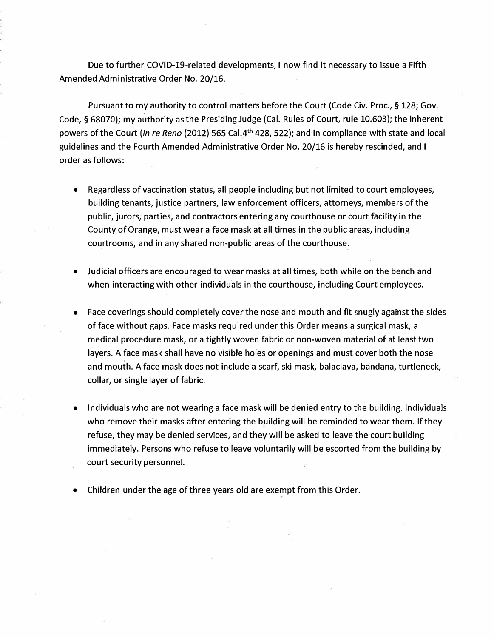Due to further COVID-19-related developments, I now find it necessary to issue a Fifth Amended Administrative Order No. 20/16.

Pursuant to my authority to control matters before the Court (Code Civ. Proc., § 128; Gov. Code, § 68070); my authority asthe Presiding Judge (Cal. Rules of Court, rule 10.603); the inherent powers of the Court *(In re Reno (2012) 565 Cal.4<sup>th</sup>* 428, 522); and in compliance with state and local guidelines and the Fourth Amended Administrative Order No. 20/16 is hereby rescinded, and I order as follows:

- Regardless of vaccination status, all people including but not limited to court employees, building tenants, justice partners, law enforcement officers, attorneys, members of the public, jurors, parties, and contractors entering any courthouse or court facility in the County of Orange, must wear a face mask at all times in the public areas, including courtrooms, and in any shared non-public areas of the courthouse. .
- Judicial officers are encouraged to wear masks at all times, both while on the bench and when interacting with other individuals in the courthouse, including Court employees.
- Face coverings should completely cover the nose and mouth and fit snugly against the sides of face without gaps. Face masks required under this Order means a surgical mask, a medical procedure mask, or a tightly woven fabric or non-woven material of at least two layers. A face mask shall have no visible holes or openings and must cover both the nose and mouth. A face mask does not include a scarf, ski mask, balaclava, bandana, turtleneck, collar, or single layer of fabric.
- Individuals who are not wearing a face mask will be denied entry to the building. Individuals who remove their masks after entering the building will be reminded to wear them. If they refuse, they may be denied services, and they will be asked to leave the court building immediately. Persons who refuse to leave voluntarily will be escorted from the building by court security personnel.
- Children under the age of three years old are exempt from this Order.